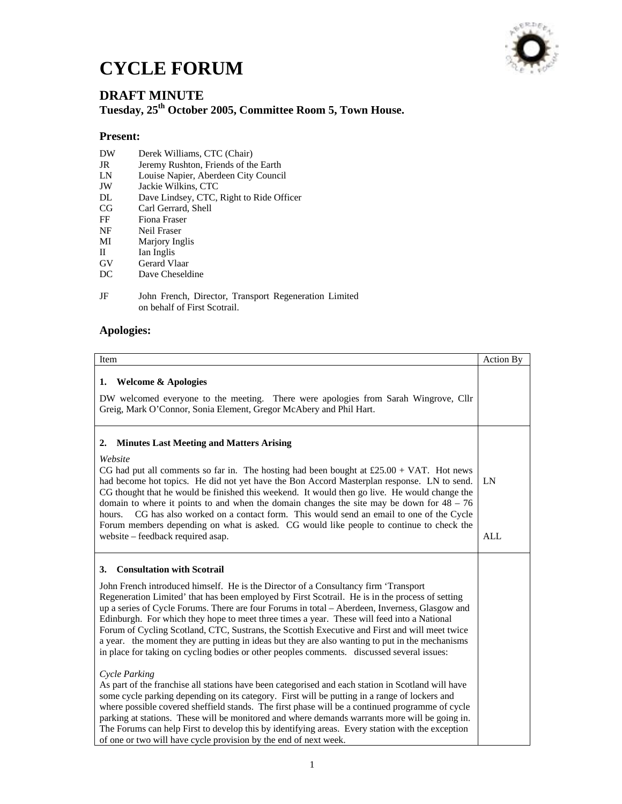## **CYCLE FORUM**



## **DRAFT MINUTE Tuesday, 25th October 2005, Committee Room 5, Town House.**

## **Present:**

- DW Derek Williams, CTC (Chair)<br>JR Jeremy Rushton, Friends of th
- JR Jeremy Rushton, Friends of the Earth<br>
LN Louise Napier. Aberdeen City Council
- LN Louise Napier, Aberdeen City Council
- JW Jackie Wilkins, CTC<br>DL Dave Lindsey, CTC,
- Dave Lindsey, CTC, Right to Ride Officer
- CG Carl Gerrard, Shell<br>FF Fiona Fraser
- Fiona Fraser
- NF Neil Fraser
- MI Marjory Inglis
- II Ian Inglis<br>GV Gerard VI
- GV Gerard Vlaar<br>DC Dave Cheselo
- Dave Cheseldine
- JF John French, Director, Transport Regeneration Limited on behalf of First Scotrail.

## **Apologies:**

| Item                                                                                                                                                                                                                                                                                                                                                                                                                                                                                                                                                                                                                                                                                                                                                                                                                                                                                                                                                                                                                                                                                                                                                                                                                                                                                                                                      | <b>Action By</b> |
|-------------------------------------------------------------------------------------------------------------------------------------------------------------------------------------------------------------------------------------------------------------------------------------------------------------------------------------------------------------------------------------------------------------------------------------------------------------------------------------------------------------------------------------------------------------------------------------------------------------------------------------------------------------------------------------------------------------------------------------------------------------------------------------------------------------------------------------------------------------------------------------------------------------------------------------------------------------------------------------------------------------------------------------------------------------------------------------------------------------------------------------------------------------------------------------------------------------------------------------------------------------------------------------------------------------------------------------------|------------------|
| <b>Welcome &amp; Apologies</b><br>1.<br>DW welcomed everyone to the meeting. There were apologies from Sarah Wingrove, Cllr<br>Greig, Mark O'Connor, Sonia Element, Gregor McAbery and Phil Hart.                                                                                                                                                                                                                                                                                                                                                                                                                                                                                                                                                                                                                                                                                                                                                                                                                                                                                                                                                                                                                                                                                                                                         |                  |
| <b>Minutes Last Meeting and Matters Arising</b><br>2.<br>Website<br>CG had put all comments so far in. The hosting had been bought at $£25.00 + VAT$ . Hot news<br>had become hot topics. He did not yet have the Bon Accord Masterplan response. LN to send.<br>CG thought that he would be finished this weekend. It would then go live. He would change the<br>domain to where it points to and when the domain changes the site may be down for $48 - 76$<br>CG has also worked on a contact form. This would send an email to one of the Cycle<br>hours.<br>Forum members depending on what is asked. CG would like people to continue to check the<br>website - feedback required asap.                                                                                                                                                                                                                                                                                                                                                                                                                                                                                                                                                                                                                                             | LN<br><b>ALL</b> |
| <b>Consultation with Scotrail</b><br>3.<br>John French introduced himself. He is the Director of a Consultancy firm 'Transport<br>Regeneration Limited' that has been employed by First Scotrail. He is in the process of setting<br>up a series of Cycle Forums. There are four Forums in total - Aberdeen, Inverness, Glasgow and<br>Edinburgh. For which they hope to meet three times a year. These will feed into a National<br>Forum of Cycling Scotland, CTC, Sustrans, the Scottish Executive and First and will meet twice<br>a year. the moment they are putting in ideas but they are also wanting to put in the mechanisms<br>in place for taking on cycling bodies or other peoples comments. discussed several issues:<br>Cycle Parking<br>As part of the franchise all stations have been categorised and each station in Scotland will have<br>some cycle parking depending on its category. First will be putting in a range of lockers and<br>where possible covered sheffield stands. The first phase will be a continued programme of cycle<br>parking at stations. These will be monitored and where demands warrants more will be going in.<br>The Forums can help First to develop this by identifying areas. Every station with the exception<br>of one or two will have cycle provision by the end of next week. |                  |